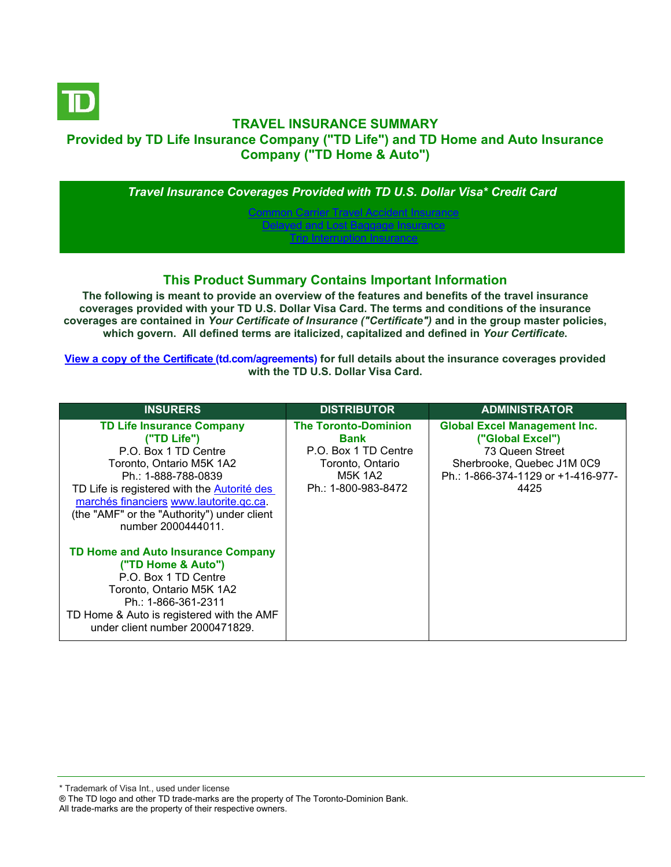

## **TRAVEL INSURANCE SUMMARY Provided by TD Life Insurance Company ("TD Life") and TD Home and Auto Insurance Company ("TD Home & Auto")**

*Travel Insurance Coverages Provided with TD U.S. Dollar Visa\* Credit Card*

[Common Carrier Travel Accident Insurance](#page-3-0) [Delayed and Lost Baggage Insurance](#page-4-0) [Trip Interruption Insurance](#page-5-0)

### **This Product Summary Contains Important Information**

**The following is meant to provide an overview of the features and benefits of the travel insurance coverages provided with your TD U.S. Dollar Visa Card. The terms and conditions of the insurance coverages are contained in** *Your Certificate of Insurance ("Certificate")* **and in the group master policies, which govern. All defined terms are italicized, [capitalized and defined](https://www.td.com/ca/en/personal-banking/how-to/manage-my-credit-card/getting-started/?tdtab=4) in** *Your Certificate***.**

**[View a copy of the Certificate](https://www.td.com/ca/en/personal-banking/how-to/manage-my-credit-card/getting-started/?tdtab=4) (td.com/agreements) for full details about the insurance coverages provided with the TD U.S. Dollar Visa Card.** 

| <b>INSURERS</b>                                                                                                                                                                                                                                                                                  | <b>DISTRIBUTOR</b>                                                                                                       | <b>ADMINISTRATOR</b>                                                                                                                                   |
|--------------------------------------------------------------------------------------------------------------------------------------------------------------------------------------------------------------------------------------------------------------------------------------------------|--------------------------------------------------------------------------------------------------------------------------|--------------------------------------------------------------------------------------------------------------------------------------------------------|
| <b>TD Life Insurance Company</b><br>("TD Life")<br>P.O. Box 1 TD Centre<br>Toronto, Ontario M5K 1A2<br>Ph.: 1-888-788-0839<br>TD Life is registered with the <b>Autorité des</b><br>marchés financiers www.lautorite.gc.ca.<br>(the "AMF" or the "Authority") under client<br>number 2000444011. | <b>The Toronto-Dominion</b><br>Bank<br>P.O. Box 1 TD Centre<br>Toronto, Ontario<br><b>M5K 1A2</b><br>Ph.: 1-800-983-8472 | <b>Global Excel Management Inc.</b><br>("Global Excel")<br>73 Queen Street<br>Sherbrooke, Quebec J1M 0C9<br>Ph.: 1-866-374-1129 or +1-416-977-<br>4425 |
| <b>TD Home and Auto Insurance Company</b><br>("TD Home & Auto")<br>P.O. Box 1 TD Centre<br>Toronto, Ontario M5K 1A2<br>Ph.: 1-866-361-2311<br>TD Home & Auto is registered with the AMF<br>under client number 2000471829.                                                                       |                                                                                                                          |                                                                                                                                                        |

\* Trademark of Visa Int., used under license

All trade-marks are the property of their respective owners.

<sup>®</sup> The TD logo and other TD trade-marks are the property of The Toronto-Dominion Bank.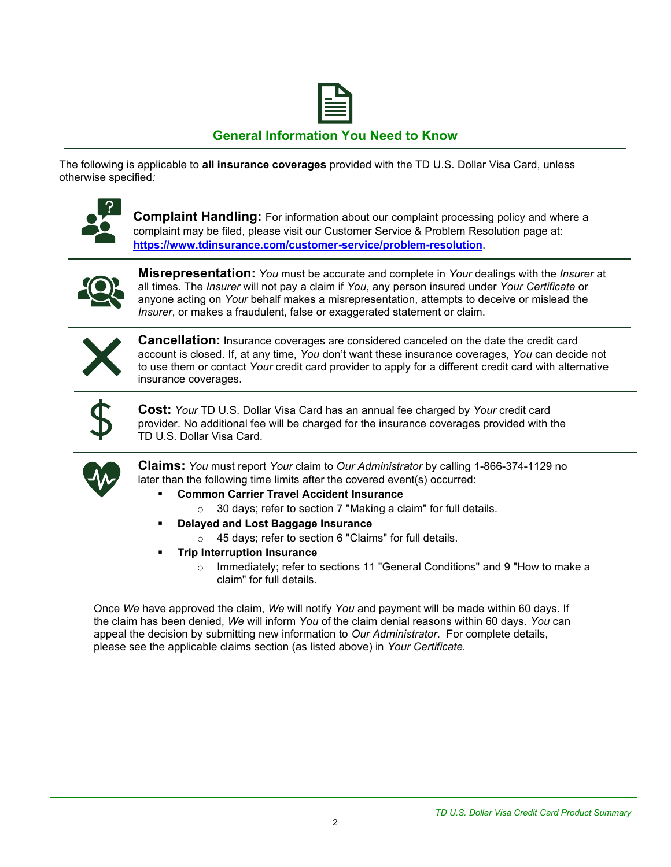

### **General Information You Need to Know**

The following is applicable to **all insurance coverages** provided with the TD U.S. Dollar Visa Card, unless otherwise specified*:*



**Complaint Handling:** For information about our complaint processing policy and where a complaint may be filed, please visit our Customer Service & Problem Resolution page at: **<https://www.tdinsurance.com/customer-service/problem-resolution>**.



**Misrepresentation:** *You* must be accurate and complete in *Your* dealings with the *Insurer* at all times. The *Insurer* will not pay a claim if *You*, any person insured under *Your Certificate* or anyone acting on *Your* behalf makes a misrepresentation, attempts to deceive or mislead the *Insurer*, or makes a fraudulent, false or exaggerated statement or claim.



**Cancellation:** Insurance coverages are considered canceled on the date the credit card account is closed. If, at any time, *You* don't want these insurance coverages, *You* can decide not to use them or contact *Your* credit card provider to apply for a different credit card with alternative insurance coverages.



**Cost:** *Your* TD U.S. Dollar Visa Card has an annual fee charged by *Your* credit card provider. No additional fee will be charged for the insurance coverages provided with the TD U.S. Dollar Visa Card.



**Claims:** *You* must report *Your* claim to *Our Administrator* by calling 1-866-374-1129 no later than the following time limits after the covered event(s) occurred:

- **Common Carrier Travel Accident Insurance** 
	- o 30 days; refer to section 7 "Making a claim" for full details.
- **Delayed and Lost Baggage Insurance** 
	- o 45 days; refer to section 6 "Claims" for full details.
- **Trip Interruption Insurance** 
	- o Immediately; refer to sections 11 "General Conditions" and 9 "How to make a claim" for full details.

Once *We* have approved the claim, *We* will notify *You* and payment will be made within 60 days. If the claim has been denied, *We* will inform *You* of the claim denial reasons within 60 days. *You* can appeal the decision by submitting new information to *Our Administrator*. For complete details, please see the applicable claims section (as listed above) in *Your Certificate.*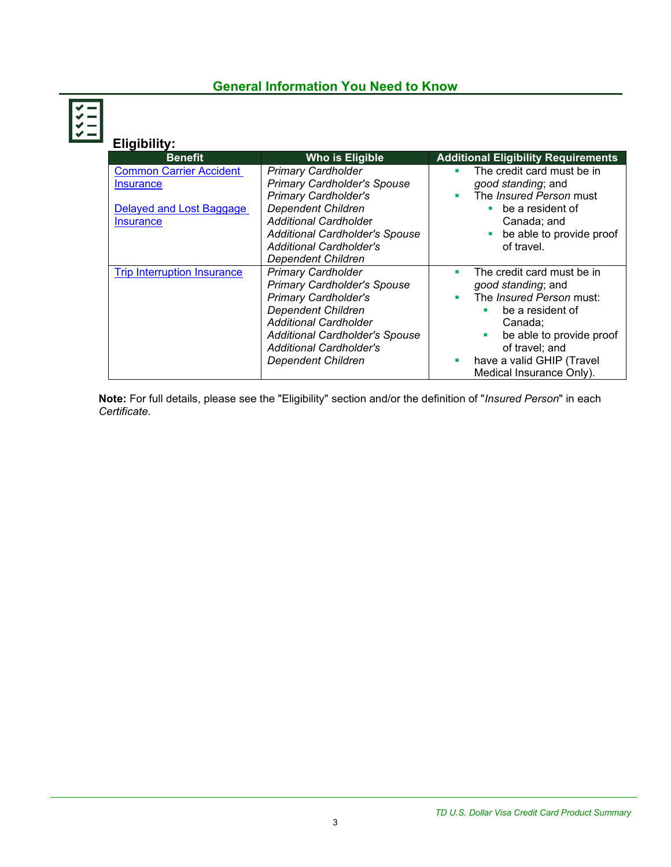# **General Information You Need to Know**

| Eligibility:                                                                                       |                                                                                                                                                                                                                                                                     |                                                                                                                                                                                                                                               |
|----------------------------------------------------------------------------------------------------|---------------------------------------------------------------------------------------------------------------------------------------------------------------------------------------------------------------------------------------------------------------------|-----------------------------------------------------------------------------------------------------------------------------------------------------------------------------------------------------------------------------------------------|
| <b>Benefit</b>                                                                                     | <b>Who is Eligible</b>                                                                                                                                                                                                                                              | <b>Additional Eligibility Requirements</b>                                                                                                                                                                                                    |
| <b>Common Carrier Accident</b><br><b>Insurance</b><br>Delayed and Lost Baggage<br><b>Insurance</b> | <b>Primary Cardholder</b><br><b>Primary Cardholder's Spouse</b><br><b>Primary Cardholder's</b><br><b>Dependent Children</b><br><b>Additional Cardholder</b><br><b>Additional Cardholder's Spouse</b><br><b>Additional Cardholder's</b><br><b>Dependent Children</b> | The credit card must be in<br>good standing; and<br>The <i>Insured Person</i> must<br>٠<br>be a resident of<br>Canada; and<br>be able to provide proof<br>of travel.                                                                          |
| <b>Trip Interruption Insurance</b>                                                                 | <b>Primary Cardholder</b><br><b>Primary Cardholder's Spouse</b><br><b>Primary Cardholder's</b><br><b>Dependent Children</b><br><b>Additional Cardholder</b><br><b>Additional Cardholder's Spouse</b><br><b>Additional Cardholder's</b><br>Dependent Children        | The credit card must be in<br>٠<br>good standing; and<br>The <i>Insured Person</i> must:<br>٠<br>be a resident of<br>Canada:<br>be able to provide proof<br>٠<br>of travel; and<br>have a valid GHIP (Travel<br>ш<br>Medical Insurance Only). |

**Note:** For full details, please see the "Eligibility" section and/or the definition of "*Insured Person*" in each *Certificate*.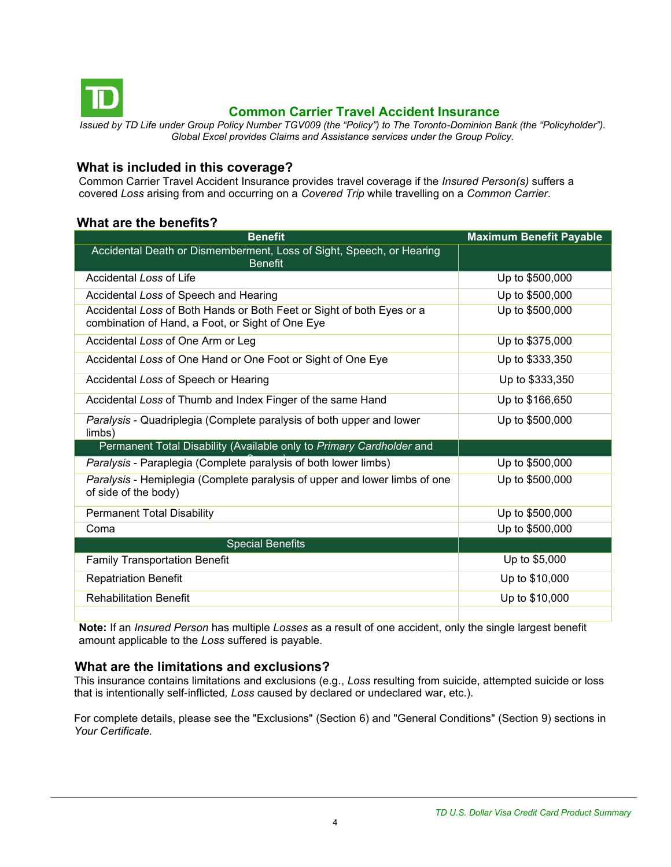<span id="page-3-0"></span>

### **Common Carrier Travel Accident Insurance**

*Issued by TD Life under Group Policy Number TGV009 (the "Policy") to The Toronto-Dominion Bank (the "Policyholder"). Global Excel provides Claims and Assistance services under the Group Policy.*

### **What is included in this coverage?**

Common Carrier Travel Accident Insurance provides travel coverage if the *Insured Person(s)* suffers a covered *Loss* arising from and occurring on a *Covered Trip* while travelling on a *Common Carrier*.

### **What are the benefits?**

| <b>Benefit</b>                                                                                                            | <b>Maximum Benefit Payable</b> |
|---------------------------------------------------------------------------------------------------------------------------|--------------------------------|
| Accidental Death or Dismemberment, Loss of Sight, Speech, or Hearing<br><b>Benefit</b>                                    |                                |
| Accidental Loss of Life                                                                                                   | Up to \$500,000                |
| Accidental Loss of Speech and Hearing                                                                                     | Up to \$500,000                |
| Accidental Loss of Both Hands or Both Feet or Sight of both Eyes or a<br>combination of Hand, a Foot, or Sight of One Eye | Up to \$500,000                |
| Accidental Loss of One Arm or Leg                                                                                         | Up to \$375,000                |
| Accidental Loss of One Hand or One Foot or Sight of One Eye                                                               | Up to \$333,350                |
| Accidental Loss of Speech or Hearing                                                                                      | Up to \$333,350                |
| Accidental Loss of Thumb and Index Finger of the same Hand                                                                | Up to \$166,650                |
| Paralysis - Quadriplegia (Complete paralysis of both upper and lower<br>limbs)                                            | Up to \$500,000                |
| Permanent Total Disability (Available only to Primary Cardholder and                                                      |                                |
| Paralysis - Paraplegia (Complete paralysis of both lower limbs)                                                           | Up to \$500,000                |
| Paralysis - Hemiplegia (Complete paralysis of upper and lower limbs of one<br>of side of the body)                        | Up to \$500,000                |
| <b>Permanent Total Disability</b>                                                                                         | Up to \$500,000                |
| Coma                                                                                                                      | Up to \$500,000                |
| <b>Special Benefits</b>                                                                                                   |                                |
| <b>Family Transportation Benefit</b>                                                                                      | Up to \$5,000                  |
| <b>Repatriation Benefit</b>                                                                                               | Up to \$10,000                 |
| <b>Rehabilitation Benefit</b>                                                                                             | Up to \$10,000                 |
|                                                                                                                           |                                |

**Note:** If an *Insured Person* has multiple *Losses* as a result of one accident, only the single largest benefit amount applicable to the *Loss* suffered is payable.

#### **What are the limitations and exclusions?**

This insurance contains limitations and exclusions (e.g., *Loss* resulting from suicide, attempted suicide or loss that is intentionally self-inflicted*, Loss* caused by declared or undeclared war, etc.).

For complete details, please see the "Exclusions" (Section 6) and "General Conditions" (Section 9) sections in *Your Certificate.*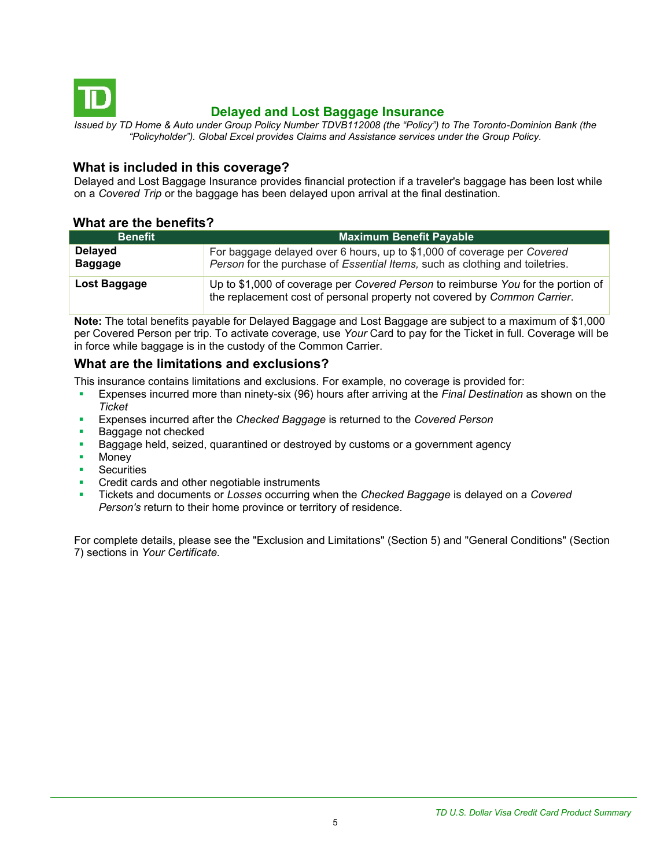<span id="page-4-0"></span>

### **Delayed and Lost Baggage Insurance**

*Issued by TD Home & Auto under Group Policy Number TDVB112008 (the "Policy") to The Toronto-Dominion Bank (the "Policyholder"). Global Excel provides Claims and Assistance services under the Group Policy.*

#### **What is included in this coverage?**

Delayed and Lost Baggage Insurance provides financial protection if a traveler's baggage has been lost while on a *Covered Trip* or the baggage has been delayed upon arrival at the final destination.

#### **What are the benefits?**

| <b>Benefit</b>                   | <b>Maximum Benefit Payable</b>                                                                                                                               |  |
|----------------------------------|--------------------------------------------------------------------------------------------------------------------------------------------------------------|--|
| <b>Delayed</b><br><b>Baggage</b> | For baggage delayed over 6 hours, up to \$1,000 of coverage per Covered<br>Person for the purchase of Essential Items, such as clothing and toiletries.      |  |
| Lost Baggage                     | Up to \$1,000 of coverage per Covered Person to reimburse You for the portion of<br>the replacement cost of personal property not covered by Common Carrier. |  |

**Note:** The total benefits payable for Delayed Baggage and Lost Baggage are subject to a maximum of \$1,000 per Covered Person per trip. To activate coverage, use *Your* Card to pay for the Ticket in full. Coverage will be in force while baggage is in the custody of the Common Carrier.

#### **What are the limitations and exclusions?**

This insurance contains limitations and exclusions. For example, no coverage is provided for:

- Expenses incurred more than ninety-six (96) hours after arriving at the *Final Destination* as shown on the *Ticket*
- Expenses incurred after the *Checked Baggage* is returned to the *Covered Person*
- Baggage not checked
- Baggage held, seized, quarantined or destroyed by customs or a government agency
- **Money**
- **Securities**
- Credit cards and other negotiable instruments
- Tickets and documents or *Losses* occurring when the *Checked Baggage* is delayed on a *Covered Person's* return to their home province or territory of residence.

For complete details, please see the "Exclusion and Limitations" (Section 5) and "General Conditions" (Section 7) sections in *Your Certificate.*